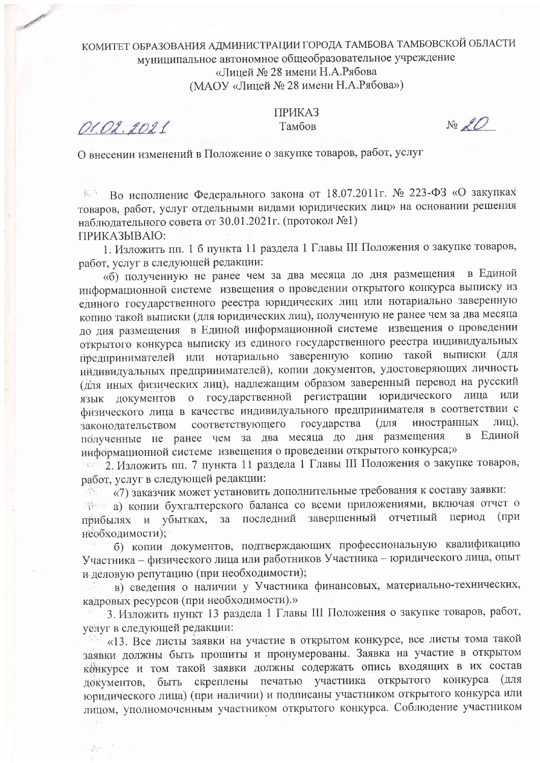## КОМИТЕТ ОБРАЗОВАНИЯ АДМИНИСТРАЦИИ ГОРОДА ТАМБОВА ТАМБОВСКОЙ ОБЛАСТИ муниципальное автономное общеобразовательное учреждение «Лицей № 28 имени Н.А.Рябова (МАОУ «Лицей № 28 имени Н.А.Рябова»)

O1.02.2021

 $\mathcal{G}^{k+1} = \mathcal{F}^{k}$ 

**ПРИКАЗ** Тамбов

 $N_2 \mathcal{L}$ 

О внесении изменений в Положение о закупке товаров, работ, услуг

Во исполнение Федерального закона от 18.07.2011г. № 223-ФЗ «О закупках 长宝 товаров, работ, услуг отдельными видами юридических лиц» на основании решения наблюдательного совета от 30.01.2021г. (протокол №1) ПРИКАЗЫВАЮ:

1. Изложить пп. 1 б пункта 11 раздела 1 Главы III Положения о закупке товаров, работ, услуг в следующей редакции:

«б) полученную не ранее чем за два месяца до дня размещения в Единой информационной системе извещения о проведении открытого конкурса выписку из единого государственного реестра юридических лиц или нотариально заверенную копию такой выписки (для юридических лиц), полученную не ранее чем за два месяца до дня размещения в Единой информационной системе извещения о проведении открытого конкурса выписку из единого государственного реестра индивидуальных предпринимателей или нотариально заверенную копию такой выписки (для индивидуальных предпринимателей), копии документов, удостоверяющих личность (для иных физических лиц), надлежащим образом заверенный перевод на русский язык документов о государственной регистрации юридического лица или физического лица в качестве индивидуального предпринимателя в соответствии с лиц), соответствующего государства  $RILL$ иностранных законолательством полученные не ранее чем за два месяца до дня размещения в Елиной информационной системе извещения о проведении открытого конкурса;»

тел 2. Изложить пп. 7 пункта 11 раздела 1 Главы III Положения о закупке товаров, работ, услуг в следующей редакции:

«7) заказчик может установить дополнительные требования к составу заявки:  $\mathbb{C}^2$  is a set of  $\mathbb{C}^2$ 

а) копии бухгалтерского баланса со всеми приложениями, включая отчет о прибылях и убытках, за последний завершенный отчетный период (при необходимости);

б) копии документов, подтверждающих профессиональную квалификацию Участника - физического лица или работников Участника - юридического лица, опыт и деловую репутацию (при необходимости);

в) сведения о наличии у Участника финансовых, материально-технических, кадровых ресурсов (при необходимости).»

3. Изложить пункт 13 раздела 1 Главы III Положения о закупке товаров, работ, услуг в следующей редакции:

«13. Все листы заявки на участие в открытом конкурсе, все листы тома такой заявки должны быть прошиты и пронумерованы. Заявка на участие в открытом конкурсе и том такой заявки должны содержать опись входящих в их состав документов, быть скреплены печатью участника открытого конкурса (для юридического лица) (при наличии) и подписаны участником открытого конкурса или лицом, уполномоченным участником открытого конкурса. Соблюдение участником